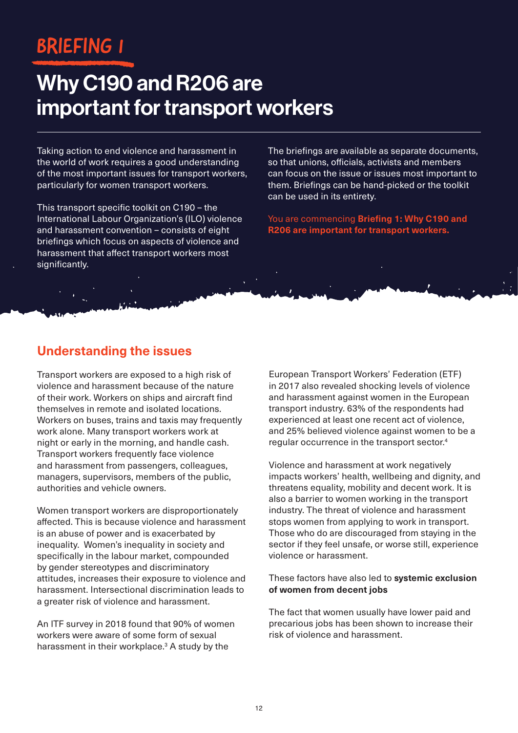# BRIEFING 1

# Why C190 and R206 are important for transport workers

Taking action to end violence and harassment in the world of work requires a good understanding of the most important issues for transport workers, particularly for women transport workers.

This transport specific toolkit on C190 - the International Labour Organization's (ILO) violence and harassment convention – consists of eight briefings which focus on aspects of violence and harassment that affect transport workers most significantly.

The briefings are available as separate documents, so that unions, officials, activists and members can focus on the issue or issues most important to them. Briefings can be hand-picked or the toolkit can be used in its entirety.

You are commencing **Briefing 1: Why C190 and R206 are important for transport workers.**

## **Understanding the issues**

Transport workers are exposed to a high risk of violence and harassment because of the nature of their work. Workers on ships and aircraft find themselves in remote and isolated locations. Workers on buses, trains and taxis may frequently work alone. Many transport workers work at night or early in the morning, and handle cash. Transport workers frequently face violence and harassment from passengers, colleagues, managers, supervisors, members of the public, authorities and vehicle owners.

Women transport workers are disproportionately affected. This is because violence and harassment is an abuse of power and is exacerbated by inequality. Women's inequality in society and specifically in the labour market, compounded by gender stereotypes and discriminatory attitudes, increases their exposure to violence and harassment. Intersectional discrimination leads to a greater risk of violence and harassment.

An ITF survey in 2018 found that 90% of women workers were aware of some form of sexual harassment in their workplace.<sup>3</sup> A study by the

European Transport Workers' Federation (ETF) in 2017 also revealed shocking levels of violence and harassment against women in the European transport industry. 63% of the respondents had experienced at least one recent act of violence, and 25% believed violence against women to be a regular occurrence in the transport sector.4

Violence and harassment at work negatively impacts workers' health, wellbeing and dignity, and threatens equality, mobility and decent work. It is also a barrier to women working in the transport industry. The threat of violence and harassment stops women from applying to work in transport. Those who do are discouraged from staying in the sector if they feel unsafe, or worse still, experience violence or harassment.

#### These factors have also led to **systemic exclusion of women from decent jobs**

The fact that women usually have lower paid and precarious jobs has been shown to increase their risk of violence and harassment.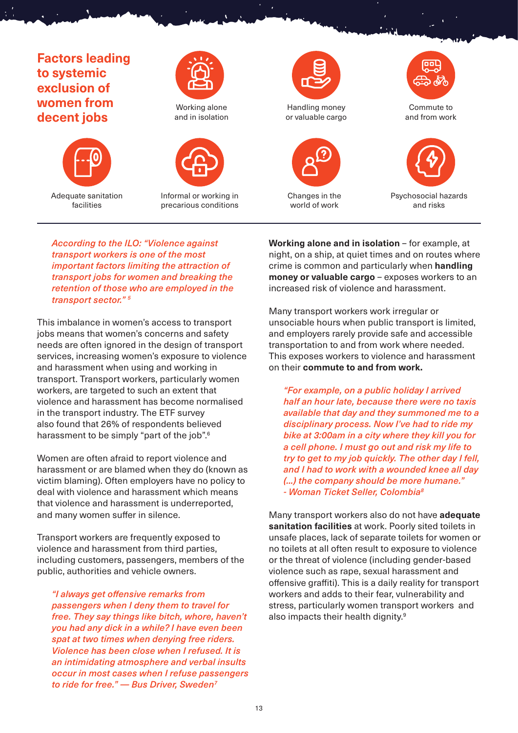### **Factors leading to systemic exclusion of women from decent jobs**



Adequate sanitation facilities



Working alone and in isolation



Informal or working in precarious conditions



Changes in the world of work





*According to the ILO: "Violence against transport workers is one of the most important factors limiting the attraction of transport jobs for women and breaking the retention of those who are employed in the transport sector." 5*

This imbalance in women's access to transport jobs means that women's concerns and safety needs are often ignored in the design of transport services, increasing women's exposure to violence and harassment when using and working in transport. Transport workers, particularly women workers, are targeted to such an extent that violence and harassment has become normalised in the transport industry. The ETF survey also found that 26% of respondents believed harassment to be simply "part of the job".<sup>6</sup>

Women are often afraid to report violence and harassment or are blamed when they do (known as victim blaming). Often employers have no policy to deal with violence and harassment which means that violence and harassment is underreported, and many women suffer in silence.

Transport workers are frequently exposed to violence and harassment from third parties, including customers, passengers, members of the public, authorities and vehicle owners.

*"I always get offensive remarks from passengers when I deny them to travel for free. They say things like bitch, whore, haven't you had any dick in a while? I have even been spat at two times when denying free riders. Violence has been close when I refused. It is an intimidating atmosphere and verbal insults occur in most cases when I refuse passengers to ride for free." — Bus Driver, Sweden7*

**Working alone and in isolation** – for example, at night, on a ship, at quiet times and on routes where crime is common and particularly when **handling money or valuable cargo** – exposes workers to an increased risk of violence and harassment.

Many transport workers work irregular or unsociable hours when public transport is limited, and employers rarely provide safe and accessible transportation to and from work where needed. This exposes workers to violence and harassment on their **commute to and from work.**

*"For example, on a public holiday I arrived half an hour late, because there were no taxis available that day and they summoned me to a disciplinary process. Now I've had to ride my bike at 3:00am in a city where they kill you for a cell phone. I must go out and risk my life to try to get to my job quickly. The other day I fell, and I had to work with a wounded knee all day (...) the company should be more humane." - Woman Ticket Seller, Colombia8*

Many transport workers also do not have **adequate sanitation facilities** at work. Poorly sited toilets in unsafe places, lack of separate toilets for women or no toilets at all often result to exposure to violence or the threat of violence (including gender-based violence such as rape, sexual harassment and offensive graffiti). This is a daily reality for transport workers and adds to their fear, vulnerability and stress, particularly women transport workers and also impacts their health dignity.9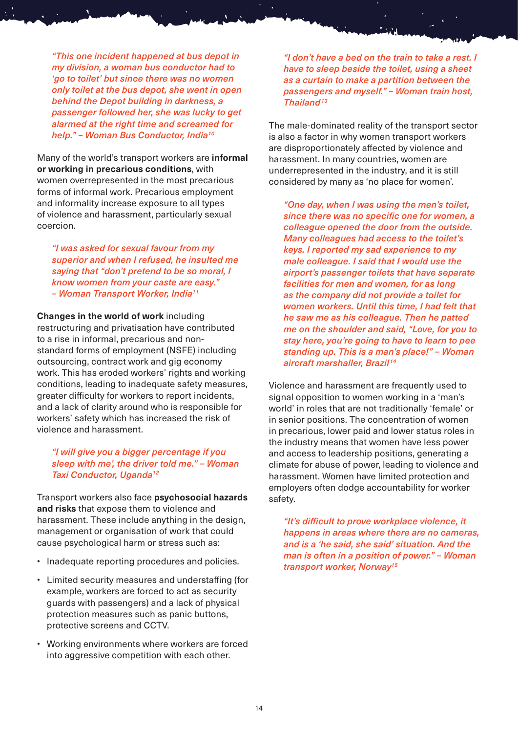*"This one incident happened at bus depot in my division, a woman bus conductor had to 'go to toilet' but since there was no women only toilet at the bus depot, she went in open behind the Depot building in darkness, a passenger followed her, she was lucky to get alarmed at the right time and screamed for help." – Woman Bus Conductor, India10*

Many of the world's transport workers are **informal or working in precarious conditions**, with women overrepresented in the most precarious forms of informal work. Precarious employment and informality increase exposure to all types of violence and harassment, particularly sexual coercion.

*"I was asked for sexual favour from my superior and when I refused, he insulted me saying that "don't pretend to be so moral, I know women from your caste are easy." – Woman Transport Worker, India11*

**Changes in the world of work** including restructuring and privatisation have contributed to a rise in informal, precarious and nonstandard forms of employment (NSFE) including outsourcing, contract work and gig economy work. This has eroded workers' rights and working conditions, leading to inadequate safety measures, greater difficulty for workers to report incidents, and a lack of clarity around who is responsible for workers' safety which has increased the risk of violence and harassment.

#### *"I will give you a bigger percentage if you sleep with me', the driver told me." – Woman Taxi Conductor, Uganda12*

Transport workers also face **psychosocial hazards and risks** that expose them to violence and harassment. These include anything in the design, management or organisation of work that could cause psychological harm or stress such as:

- Inadequate reporting procedures and policies.
- Limited security measures and understaffing (for example, workers are forced to act as security guards with passengers) and a lack of physical protection measures such as panic buttons, protective screens and CCTV.
- Working environments where workers are forced into aggressive competition with each other.

*"I don't have a bed on the train to take a rest. I have to sleep beside the toilet, using a sheet as a curtain to make a partition between the passengers and myself." – Woman train host, Thailand13*

The male-dominated reality of the transport sector is also a factor in why women transport workers are disproportionately affected by violence and harassment. In many countries, women are underrepresented in the industry, and it is still considered by many as 'no place for women'.

*"One day, when I was using the men's toilet, since there was no specific one for women, a colleague opened the door from the outside. Many colleagues had access to the toilet's keys. I reported my sad experience to my male colleague. I said that I would use the airport's passenger toilets that have separate facilities for men and women, for as long as the company did not provide a toilet for women workers. Until this time, I had felt that he saw me as his colleague. Then he patted me on the shoulder and said, "Love, for you to stay here, you're going to have to learn to pee standing up. This is a man's place!" – Woman aircraft marshaller, Brazil <sup>14</sup>*

Violence and harassment are frequently used to signal opposition to women working in a 'man's world' in roles that are not traditionally 'female' or in senior positions. The concentration of women in precarious, lower paid and lower status roles in the industry means that women have less power and access to leadership positions, generating a climate for abuse of power, leading to violence and harassment. Women have limited protection and employers often dodge accountability for worker safety.

*"It's difficult to prove workplace violence, it happens in areas where there are no cameras, and is a 'he said, she said' situation. And the man is often in a position of power." – Woman transport worker, Norway15*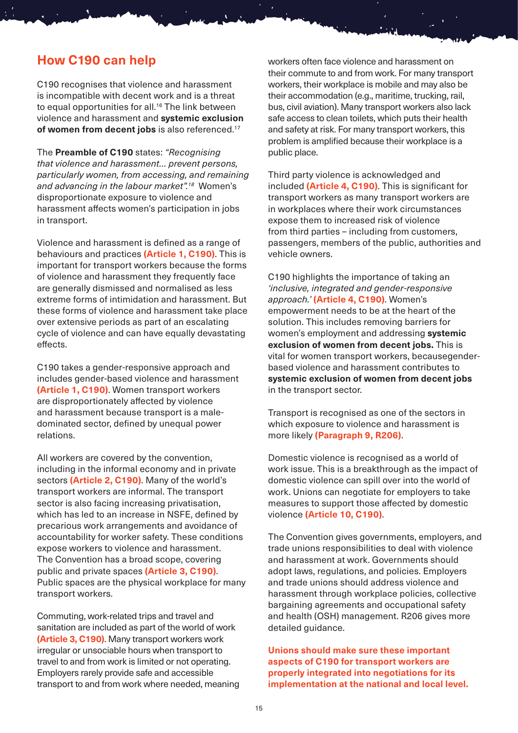### **How C190 can help**

C190 recognises that violence and harassment is incompatible with decent work and is a threat to equal opportunities for all.<sup>16</sup> The link between violence and harassment and **systemic exclusion of women from decent jobs** is also referenced.<sup>17</sup>

The **Preamble of C190** states: *"Recognising that violence and harassment… prevent persons, particularly women, from accessing, and remaining and advancing in the labour market".18* Women's disproportionate exposure to violence and harassment affects women's participation in jobs in transport.

Violence and harassment is defined as a range of behaviours and practices **(Article 1, C190)**. This is important for transport workers because the forms of violence and harassment they frequently face are generally dismissed and normalised as less extreme forms of intimidation and harassment. But these forms of violence and harassment take place over extensive periods as part of an escalating cycle of violence and can have equally devastating effects.

C190 takes a gender-responsive approach and includes gender-based violence and harassment **(Article 1, C190)**. Women transport workers are disproportionately affected by violence and harassment because transport is a maledominated sector, defined by unequal power relations.

All workers are covered by the convention, including in the informal economy and in private sectors **(Article 2, C190)**. Many of the world's transport workers are informal. The transport sector is also facing increasing privatisation, which has led to an increase in NSFE, defined by precarious work arrangements and avoidance of accountability for worker safety. These conditions expose workers to violence and harassment. The Convention has a broad scope, covering public and private spaces **(Article 3, C190)**. Public spaces are the physical workplace for many transport workers.

Commuting, work-related trips and travel and sanitation are included as part of the world of work **(Article 3, C190)**. Many transport workers work irregular or unsociable hours when transport to travel to and from work is limited or not operating. Employers rarely provide safe and accessible transport to and from work where needed, meaning workers often face violence and harassment on their commute to and from work. For many transport workers, their workplace is mobile and may also be their accommodation (e.g., maritime, trucking, rail, bus, civil aviation). Many transport workers also lack safe access to clean toilets, which puts their health and safety at risk. For many transport workers, this problem is amplified because their workplace is a public place.

Third party violence is acknowledged and included **(Article 4, C190)**. This is significant for transport workers as many transport workers are in workplaces where their work circumstances expose them to increased risk of violence from third parties – including from customers, passengers, members of the public, authorities and vehicle owners.

C190 highlights the importance of taking an *'inclusive, integrated and gender-responsive approach.'* **(Article 4, C190)**. Women's empowerment needs to be at the heart of the solution. This includes removing barriers for women's employment and addressing **systemic exclusion of women from decent jobs.** This is vital for women transport workers, becausegenderbased violence and harassment contributes to **systemic exclusion of women from decent jobs** in the transport sector.

Transport is recognised as one of the sectors in which exposure to violence and harassment is more likely **(Paragraph 9, R206)**.

Domestic violence is recognised as a world of work issue. This is a breakthrough as the impact of domestic violence can spill over into the world of work. Unions can negotiate for employers to take measures to support those affected by domestic violence **(Article 10, C190)**.

The Convention gives governments, employers, and trade unions responsibilities to deal with violence and harassment at work. Governments should adopt laws, regulations, and policies. Employers and trade unions should address violence and harassment through workplace policies, collective bargaining agreements and occupational safety and health (OSH) management. R206 gives more detailed guidance.

**Unions should make sure these important aspects of C190 for transport workers are properly integrated into negotiations for its implementation at the national and local level.**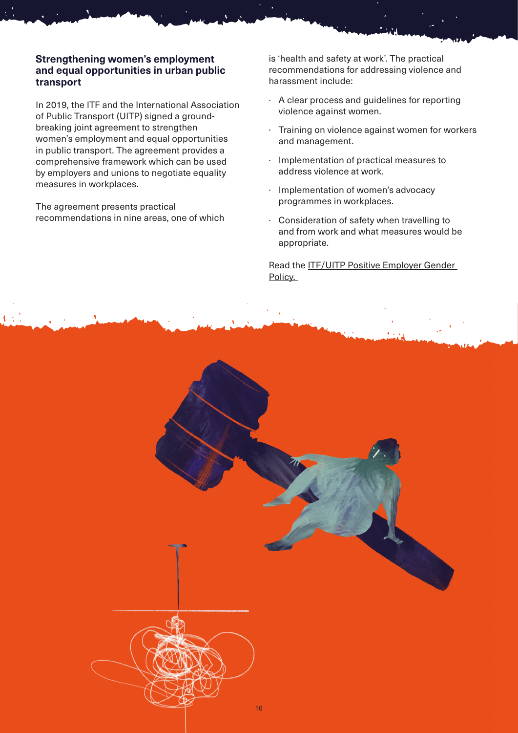### **Strengthening women's employment and equal opportunities in urban public transport**

In 2019, the ITF and the International Association of Public Transport (UITP) signed a groundbreaking joint agreement to strengthen women's employment and equal opportunities in public transport. The agreement provides a comprehensive framework which can be used by employers and unions to negotiate equality measures in workplaces.

The agreement presents practical recommendations in nine areas, one of which

is 'health and safety at work'. The practical recommendations for addressing violence and harassment include:

- · A clear process and guidelines for reporting violence against women.
- · Training on violence against women for workers and management.
- · Implementation of practical measures to address violence at work.
- · Implementation of women's advocacy programmes in workplaces.
- · Consideration of safety when travelling to and from work and what measures would be appropriate.

Read the [ITF/UITP Positive Employer Gender](https://www.itfglobal.org/en/reports-publications/itfuitp-positive-employer-gender-policy)  [Policy.](https://www.itfglobal.org/en/reports-publications/itfuitp-positive-employer-gender-policy) 

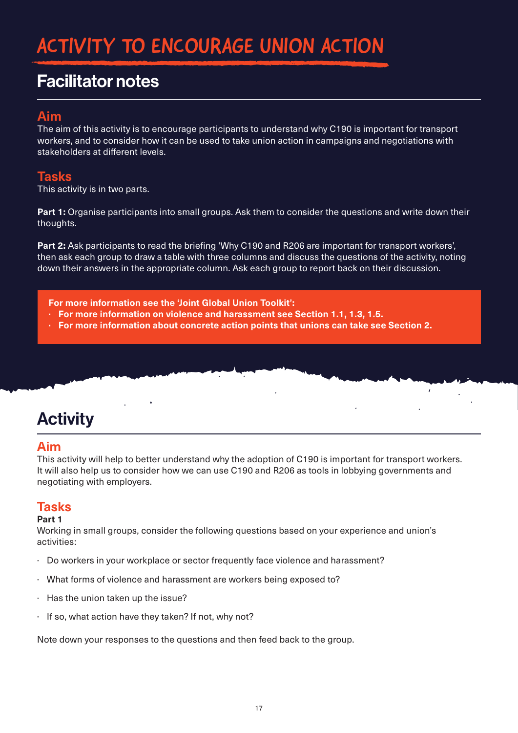# ACTIVITY TO ENCOURAGE UNION ACTION

# Facilitator notes

## **Aim**

The aim of this activity is to encourage participants to understand why C190 is important for transport workers, and to consider how it can be used to take union action in campaigns and negotiations with stakeholders at different levels.

### **Tasks**

This activity is in two parts.

**Part 1:** Organise participants into small groups. Ask them to consider the questions and write down their thoughts.

**Part 2:** Ask participants to read the briefing 'Why C190 and R206 are important for transport workers', then ask each group to draw a table with three columns and discuss the questions of the activity, noting down their answers in the appropriate column. Ask each group to report back on their discussion.

**For more information see the 'Joint Global Union Toolkit':**

- **· For more information on violence and harassment see Section 1.1, 1.3, 1.5.**
- **· For more information about concrete action points that unions can take see Section 2.**

# **Activity**

### **Aim**

This activity will help to better understand why the adoption of C190 is important for transport workers. It will also help us to consider how we can use C190 and R206 as tools in lobbying governments and negotiating with employers.

### **Tasks**

### **Part 1**

Working in small groups, consider the following questions based on your experience and union's activities:

- · Do workers in your workplace or sector frequently face violence and harassment?
- · What forms of violence and harassment are workers being exposed to?
- · Has the union taken up the issue?
- · If so, what action have they taken? If not, why not?

Note down your responses to the questions and then feed back to the group.